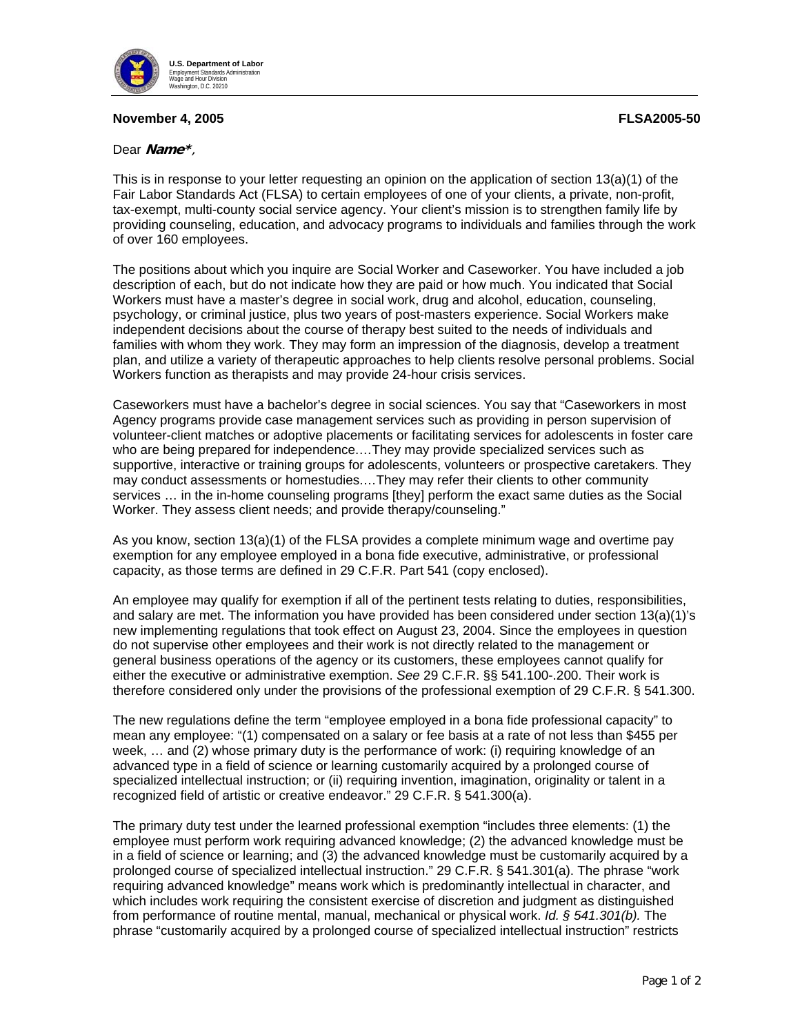

## **November 4, 2005 FLSA2005-50**

## Dear **Name\***,

This is in response to your letter requesting an opinion on the application of section 13(a)(1) of the Fair Labor Standards Act (FLSA) to certain employees of one of your clients, a private, non-profit, tax-exempt, multi-county social service agency. Your client's mission is to strengthen family life by providing counseling, education, and advocacy programs to individuals and families through the work of over 160 employees.

The positions about which you inquire are Social Worker and Caseworker. You have included a job description of each, but do not indicate how they are paid or how much. You indicated that Social Workers must have a master's degree in social work, drug and alcohol, education, counseling, psychology, or criminal justice, plus two years of post-masters experience. Social Workers make independent decisions about the course of therapy best suited to the needs of individuals and families with whom they work. They may form an impression of the diagnosis, develop a treatment plan, and utilize a variety of therapeutic approaches to help clients resolve personal problems. Social Workers function as therapists and may provide 24-hour crisis services.

Caseworkers must have a bachelor's degree in social sciences. You say that "Caseworkers in most Agency programs provide case management services such as providing in person supervision of volunteer-client matches or adoptive placements or facilitating services for adolescents in foster care who are being prepared for independence.…They may provide specialized services such as supportive, interactive or training groups for adolescents, volunteers or prospective caretakers. They may conduct assessments or homestudies.…They may refer their clients to other community services … in the in-home counseling programs [they] perform the exact same duties as the Social Worker. They assess client needs; and provide therapy/counseling."

As you know, section 13(a)(1) of the FLSA provides a complete minimum wage and overtime pay exemption for any employee employed in a bona fide executive, administrative, or professional capacity, as those terms are defined in 29 C.F.R. Part 541 (copy enclosed).

An employee may qualify for exemption if all of the pertinent tests relating to duties, responsibilities, and salary are met. The information you have provided has been considered under section 13(a)(1)'s new implementing regulations that took effect on August 23, 2004. Since the employees in question do not supervise other employees and their work is not directly related to the management or general business operations of the agency or its customers, these employees cannot qualify for either the executive or administrative exemption. *See* 29 C.F.R. §§ 541.100-.200. Their work is therefore considered only under the provisions of the professional exemption of 29 C.F.R. § 541.300.

The new regulations define the term "employee employed in a bona fide professional capacity" to mean any employee: "(1) compensated on a salary or fee basis at a rate of not less than \$455 per week, … and (2) whose primary duty is the performance of work: (i) requiring knowledge of an advanced type in a field of science or learning customarily acquired by a prolonged course of specialized intellectual instruction; or (ii) requiring invention, imagination, originality or talent in a recognized field of artistic or creative endeavor." 29 C.F.R. § 541.300(a).

The primary duty test under the learned professional exemption "includes three elements: (1) the employee must perform work requiring advanced knowledge; (2) the advanced knowledge must be in a field of science or learning; and (3) the advanced knowledge must be customarily acquired by a prolonged course of specialized intellectual instruction." 29 C.F.R. § 541.301(a). The phrase "work requiring advanced knowledge" means work which is predominantly intellectual in character, and which includes work requiring the consistent exercise of discretion and judgment as distinguished from performance of routine mental, manual, mechanical or physical work. *Id. § 541.301(b).* The phrase "customarily acquired by a prolonged course of specialized intellectual instruction" restricts